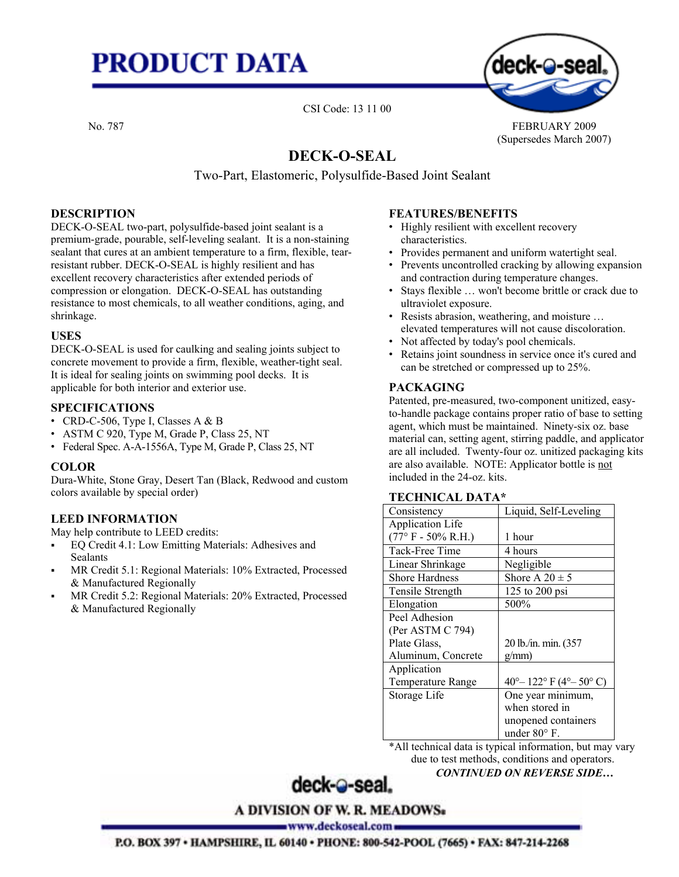# **PRODUCT DATA**



No. 787 FEBRUARY 2009 (Supersedes March 2007)

### **DECK-O-SEAL**

CSI Code: 13 11 00

Two-Part, Elastomeric, Polysulfide-Based Joint Sealant

#### **DESCRIPTION**

DECK-O-SEAL two-part, polysulfide-based joint sealant is a premium-grade, pourable, self-leveling sealant. It is a non-staining sealant that cures at an ambient temperature to a firm, flexible, tearresistant rubber. DECK-O-SEAL is highly resilient and has excellent recovery characteristics after extended periods of compression or elongation. DECK-O-SEAL has outstanding resistance to most chemicals, to all weather conditions, aging, and shrinkage.

#### **USES**

DECK-O-SEAL is used for caulking and sealing joints subject to concrete movement to provide a firm, flexible, weather-tight seal. It is ideal for sealing joints on swimming pool decks. It is applicable for both interior and exterior use.

#### **SPECIFICATIONS**

- CRD-C-506, Type I, Classes A & B
- ASTM C 920, Type M, Grade P, Class 25, NT
- Federal Spec. A-A-1556A, Type M, Grade P, Class 25, NT

#### **COLOR**

Dura-White, Stone Gray, Desert Tan (Black, Redwood and custom colors available by special order)

#### **LEED INFORMATION**

May help contribute to LEED credits:

- EQ Credit 4.1: Low Emitting Materials: Adhesives and **Sealants**
- MR Credit 5.1: Regional Materials: 10% Extracted, Processed & Manufactured Regionally
- MR Credit 5.2: Regional Materials: 20% Extracted, Processed & Manufactured Regionally

#### **FEATURES/BENEFITS**

- Highly resilient with excellent recovery characteristics.
- Provides permanent and uniform watertight seal.
- Prevents uncontrolled cracking by allowing expansion and contraction during temperature changes.
- Stays flexible ... won't become brittle or crack due to ultraviolet exposure.
- Resists abrasion, weathering, and moisture ... elevated temperatures will not cause discoloration.
- Not affected by today's pool chemicals.
- Retains joint soundness in service once it's cured and can be stretched or compressed up to 25%.

#### **PACKAGING**

Patented, pre-measured, two-component unitized, easyto-handle package contains proper ratio of base to setting agent, which must be maintained. Ninety-six oz. base material can, setting agent, stirring paddle, and applicator are all included. Twenty-four oz. unitized packaging kits are also available. NOTE: Applicator bottle is not included in the 24-oz. kits.

| песнитель рата              |                                           |  |  |  |  |  |
|-----------------------------|-------------------------------------------|--|--|--|--|--|
| Consistency                 | Liquid, Self-Leveling                     |  |  |  |  |  |
| Application Life            |                                           |  |  |  |  |  |
| $(77^{\circ}$ F - 50% R.H.) | 1 hour                                    |  |  |  |  |  |
| Tack-Free Time              | 4 hours                                   |  |  |  |  |  |
| Linear Shrinkage            | Negligible                                |  |  |  |  |  |
| <b>Shore Hardness</b>       | Shore A $20 \pm 5$                        |  |  |  |  |  |
| Tensile Strength            | 125 to 200 psi                            |  |  |  |  |  |
| Elongation                  | 500%                                      |  |  |  |  |  |
| Peel Adhesion               |                                           |  |  |  |  |  |
| (Per ASTM C 794)            |                                           |  |  |  |  |  |
| Plate Glass,                | 20 lb./in. min. (357                      |  |  |  |  |  |
| Aluminum, Concrete          | g/mm                                      |  |  |  |  |  |
| Application                 |                                           |  |  |  |  |  |
| <b>Temperature Range</b>    | $40^{\circ} - 122^{\circ}$ F (4° – 50° C) |  |  |  |  |  |
| Storage Life                | One year minimum,                         |  |  |  |  |  |
|                             | when stored in                            |  |  |  |  |  |
|                             | unopened containers                       |  |  |  |  |  |
|                             | under 80°F.                               |  |  |  |  |  |
|                             |                                           |  |  |  |  |  |

\*All technical data is typical information, but may vary due to test methods, conditions and operators.

*CONTINUED ON REVERSE SIDE…* 

## deck-@-seal.

**A DIVISION OF W. R. MEADOWS**.

www.deckoseal.com =

P.O. BOX 397 . HAMPSHIRE, IL 60140 . PHONE: 800-542-POOL (7665) . FAX: 847-214-2268

#### **TECHNICAL DATA\***